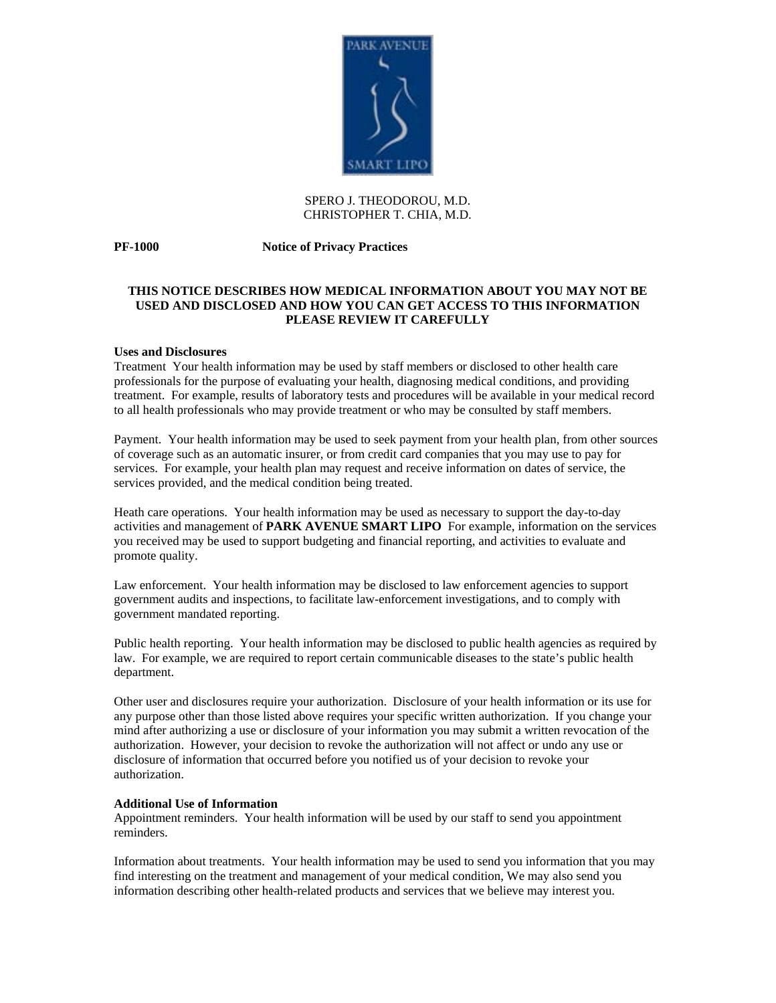

## **PF-1000 Notice of Privacy Practices**

## **THIS NOTICE DESCRIBES HOW MEDICAL INFORMATION ABOUT YOU MAY NOT BE USED AND DISCLOSED AND HOW YOU CAN GET ACCESS TO THIS INFORMATION PLEASE REVIEW IT CAREFULLY**

#### **Uses and Disclosures**

Treatment Your health information may be used by staff members or disclosed to other health care professionals for the purpose of evaluating your health, diagnosing medical conditions, and providing treatment. For example, results of laboratory tests and procedures will be available in your medical record to all health professionals who may provide treatment or who may be consulted by staff members.

Payment. Your health information may be used to seek payment from your health plan, from other sources of coverage such as an automatic insurer, or from credit card companies that you may use to pay for services. For example, your health plan may request and receive information on dates of service, the services provided, and the medical condition being treated.

Heath care operations. Your health information may be used as necessary to support the day-to-day activities and management of **PARK AVENUE SMART LIPO** For example, information on the services you received may be used to support budgeting and financial reporting, and activities to evaluate and promote quality.

Law enforcement. Your health information may be disclosed to law enforcement agencies to support government audits and inspections, to facilitate law-enforcement investigations, and to comply with government mandated reporting.

Public health reporting. Your health information may be disclosed to public health agencies as required by law. For example, we are required to report certain communicable diseases to the state's public health department.

Other user and disclosures require your authorization. Disclosure of your health information or its use for any purpose other than those listed above requires your specific written authorization. If you change your mind after authorizing a use or disclosure of your information you may submit a written revocation of the authorization. However, your decision to revoke the authorization will not affect or undo any use or disclosure of information that occurred before you notified us of your decision to revoke your authorization.

#### **Additional Use of Information**

Appointment reminders. Your health information will be used by our staff to send you appointment reminders.

Information about treatments. Your health information may be used to send you information that you may find interesting on the treatment and management of your medical condition, We may also send you information describing other health-related products and services that we believe may interest you.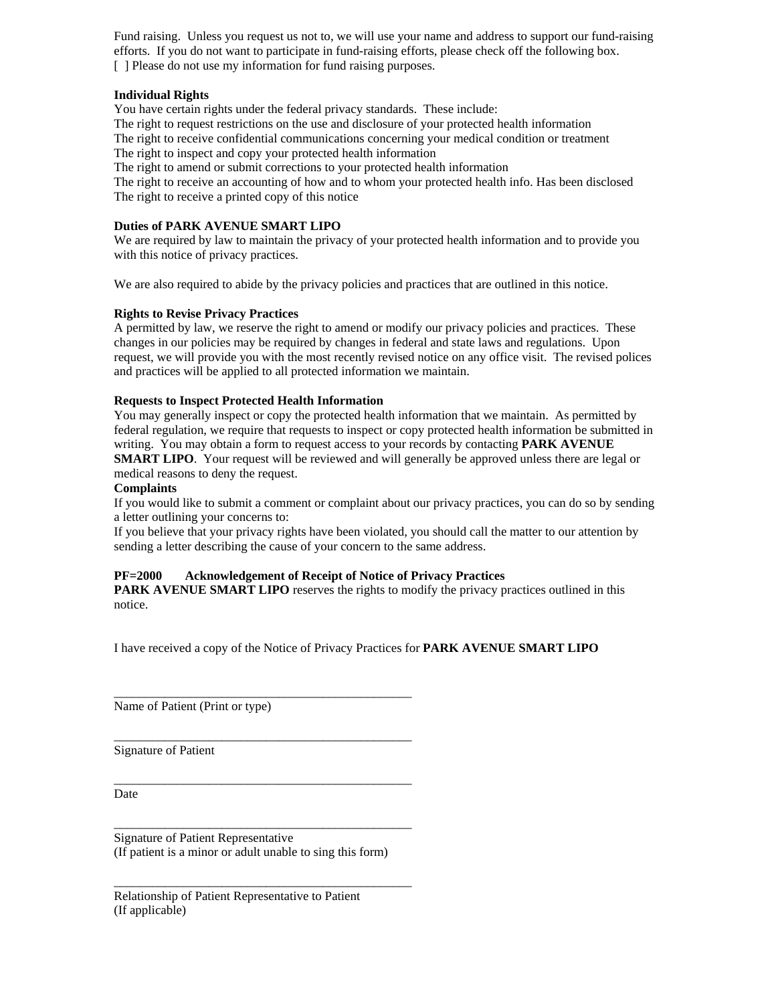Fund raising. Unless you request us not to, we will use your name and address to support our fund-raising efforts. If you do not want to participate in fund-raising efforts, please check off the following box. [] Please do not use my information for fund raising purposes.

## **Individual Rights**

You have certain rights under the federal privacy standards. These include:

The right to request restrictions on the use and disclosure of your protected health information The right to receive confidential communications concerning your medical condition or treatment

The right to inspect and copy your protected health information

The right to amend or submit corrections to your protected health information

The right to receive an accounting of how and to whom your protected health info. Has been disclosed The right to receive a printed copy of this notice

#### **Duties of PARK AVENUE SMART LIPO**

We are required by law to maintain the privacy of your protected health information and to provide you with this notice of privacy practices.

We are also required to abide by the privacy policies and practices that are outlined in this notice.

#### **Rights to Revise Privacy Practices**

A permitted by law, we reserve the right to amend or modify our privacy policies and practices. These changes in our policies may be required by changes in federal and state laws and regulations. Upon request, we will provide you with the most recently revised notice on any office visit. The revised polices and practices will be applied to all protected information we maintain.

#### **Requests to Inspect Protected Health Information**

You may generally inspect or copy the protected health information that we maintain. As permitted by federal regulation, we require that requests to inspect or copy protected health information be submitted in writing. You may obtain a form to request access to your records by contacting **PARK AVENUE SMART LIPO**. Your request will be reviewed and will generally be approved unless there are legal or medical reasons to deny the request.

#### **Complaints**

If you would like to submit a comment or complaint about our privacy practices, you can do so by sending a letter outlining your concerns to:

If you believe that your privacy rights have been violated, you should call the matter to our attention by sending a letter describing the cause of your concern to the same address.

#### **PF=2000 Acknowledgement of Receipt of Notice of Privacy Practices**

**PARK AVENUE SMART LIPO** reserves the rights to modify the privacy practices outlined in this notice.

I have received a copy of the Notice of Privacy Practices for **PARK AVENUE SMART LIPO** 

Name of Patient (Print or type)

Signature of Patient

Date

Signature of Patient Representative (If patient is a minor or adult unable to sing this form)

\_\_\_\_\_\_\_\_\_\_\_\_\_\_\_\_\_\_\_\_\_\_\_\_\_\_\_\_\_\_\_\_\_\_\_\_\_\_\_\_\_\_\_\_\_\_\_

\_\_\_\_\_\_\_\_\_\_\_\_\_\_\_\_\_\_\_\_\_\_\_\_\_\_\_\_\_\_\_\_\_\_\_\_\_\_\_\_\_\_\_\_\_\_\_

\_\_\_\_\_\_\_\_\_\_\_\_\_\_\_\_\_\_\_\_\_\_\_\_\_\_\_\_\_\_\_\_\_\_\_\_\_\_\_\_\_\_\_\_\_\_\_

\_\_\_\_\_\_\_\_\_\_\_\_\_\_\_\_\_\_\_\_\_\_\_\_\_\_\_\_\_\_\_\_\_\_\_\_\_\_\_\_\_\_\_\_\_\_\_

\_\_\_\_\_\_\_\_\_\_\_\_\_\_\_\_\_\_\_\_\_\_\_\_\_\_\_\_\_\_\_\_\_\_\_\_\_\_\_\_\_\_\_\_\_\_\_

Relationship of Patient Representative to Patient (If applicable)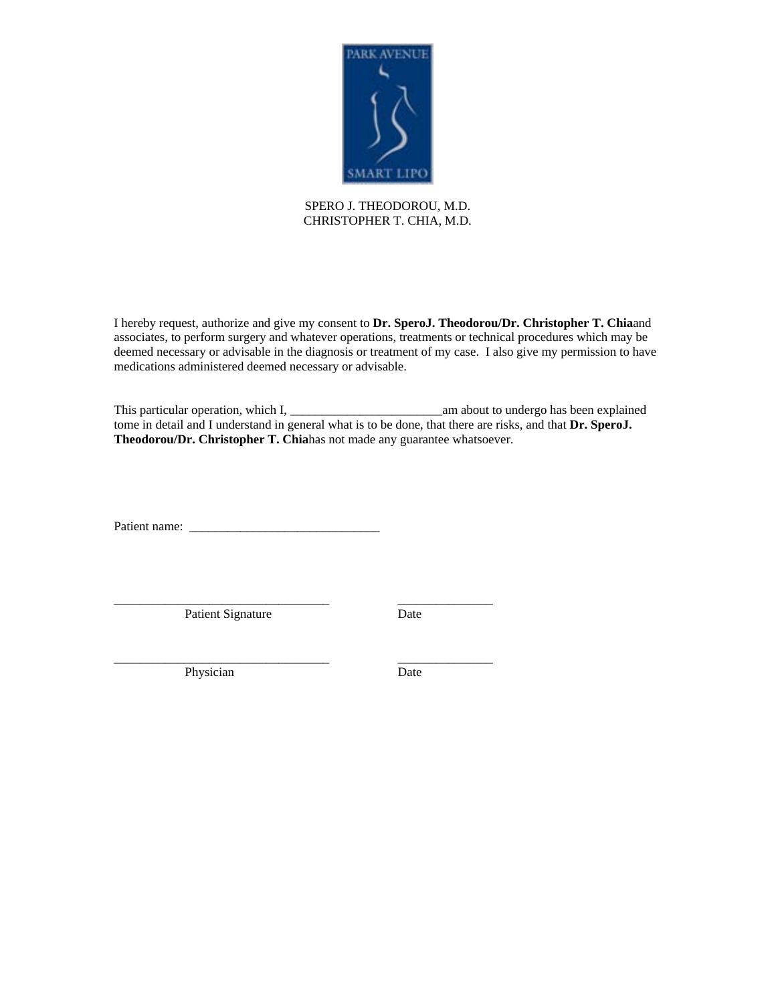

I hereby request, authorize and give my consent to **Dr. SperoJ. Theodorou/Dr. Christopher T. Chia**and associates, to perform surgery and whatever operations, treatments or technical procedures which may be deemed necessary or advisable in the diagnosis or treatment of my case. I also give my permission to have medications administered deemed necessary or advisable.

This particular operation, which I, \_\_\_\_\_\_\_\_\_\_\_\_\_\_\_\_\_\_\_\_\_\_\_\_am about to undergo has been explained tome in detail and I understand in general what is to be done, that there are risks, and that **Dr. SperoJ. Theodorou/Dr. Christopher T. Chia**has not made any guarantee whatsoever.

Patient name: \_\_\_\_\_\_\_\_\_\_\_\_\_\_\_\_\_\_\_\_\_\_\_\_\_\_\_\_\_\_

\_\_\_\_\_\_\_\_\_\_\_\_\_\_\_\_\_\_\_\_\_\_\_\_\_\_\_\_\_\_\_\_\_\_ \_\_\_\_\_\_\_\_\_\_\_\_\_\_\_

Patient Signature Date

\_\_\_\_\_\_\_\_\_\_\_\_\_\_\_\_\_\_\_\_\_\_\_\_\_\_\_\_\_\_\_\_\_\_ \_\_\_\_\_\_\_\_\_\_\_\_\_\_\_ Physician Date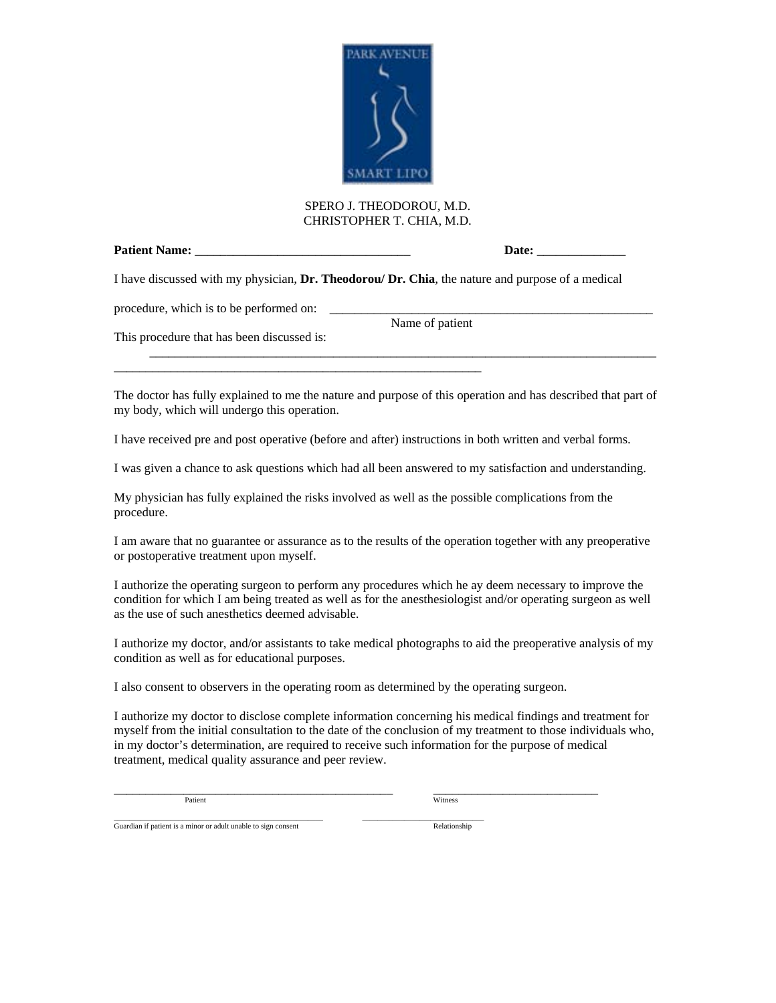

**Patient Name: \_\_\_\_\_\_\_\_\_\_\_\_\_\_\_\_\_\_\_\_\_\_\_\_\_\_\_\_\_\_\_\_\_\_ Date: \_\_\_\_\_\_\_\_\_\_\_\_\_\_** 

I have discussed with my physician, **Dr. Theodorou/ Dr. Chia**, the nature and purpose of a medical

procedure, which is to be performed on: \_\_\_\_\_\_\_\_\_\_\_\_\_\_\_\_\_\_\_\_\_\_\_\_\_\_\_\_\_\_\_\_\_\_\_\_\_\_\_\_\_\_\_\_\_\_\_\_\_\_\_

Name of patient

This procedure that has been discussed is:  $\mathcal{L}_\text{max} = \frac{1}{2} \sum_{i=1}^{n} \frac{1}{2} \sum_{i=1}^{n} \frac{1}{2} \sum_{i=1}^{n} \frac{1}{2} \sum_{i=1}^{n} \frac{1}{2} \sum_{i=1}^{n} \frac{1}{2} \sum_{i=1}^{n} \frac{1}{2} \sum_{i=1}^{n} \frac{1}{2} \sum_{i=1}^{n} \frac{1}{2} \sum_{i=1}^{n} \frac{1}{2} \sum_{i=1}^{n} \frac{1}{2} \sum_{i=1}^{n} \frac{1}{2} \sum_{i=1}^{n} \frac{1$ 

\_\_\_\_\_\_\_\_\_\_\_\_\_\_\_\_\_\_\_\_\_\_\_\_\_\_\_\_\_\_\_\_\_\_\_\_\_\_\_\_\_\_\_\_\_\_\_\_\_\_\_\_\_\_\_\_\_\_

The doctor has fully explained to me the nature and purpose of this operation and has described that part of my body, which will undergo this operation.

I have received pre and post operative (before and after) instructions in both written and verbal forms.

I was given a chance to ask questions which had all been answered to my satisfaction and understanding.

My physician has fully explained the risks involved as well as the possible complications from the procedure.

I am aware that no guarantee or assurance as to the results of the operation together with any preoperative or postoperative treatment upon myself.

I authorize the operating surgeon to perform any procedures which he ay deem necessary to improve the condition for which I am being treated as well as for the anesthesiologist and/or operating surgeon as well as the use of such anesthetics deemed advisable.

I authorize my doctor, and/or assistants to take medical photographs to aid the preoperative analysis of my condition as well as for educational purposes.

I also consent to observers in the operating room as determined by the operating surgeon.

I authorize my doctor to disclose complete information concerning his medical findings and treatment for myself from the initial consultation to the date of the conclusion of my treatment to those individuals who, in my doctor's determination, are required to receive such information for the purpose of medical treatment, medical quality assurance and peer review.

Patient Patient Niness

\_\_\_\_\_\_\_\_\_\_\_\_\_\_\_\_\_\_\_\_\_\_\_\_\_\_\_\_\_\_\_\_\_\_\_\_\_\_\_\_\_\_\_\_ \_\_\_\_\_\_\_\_\_\_\_\_\_\_\_\_\_\_\_\_\_\_\_\_\_\_

Guardian if patient is a minor or adult unable to sign consent Relationship

\_\_\_\_\_\_\_\_\_\_\_\_\_\_\_\_\_\_\_\_\_\_\_\_\_\_\_\_\_\_\_\_\_\_\_\_\_\_\_\_\_\_\_\_\_\_\_\_\_\_\_\_\_\_\_ \_\_\_\_\_\_\_\_\_\_\_\_\_\_\_\_\_\_\_\_\_\_\_\_\_\_\_\_\_\_\_\_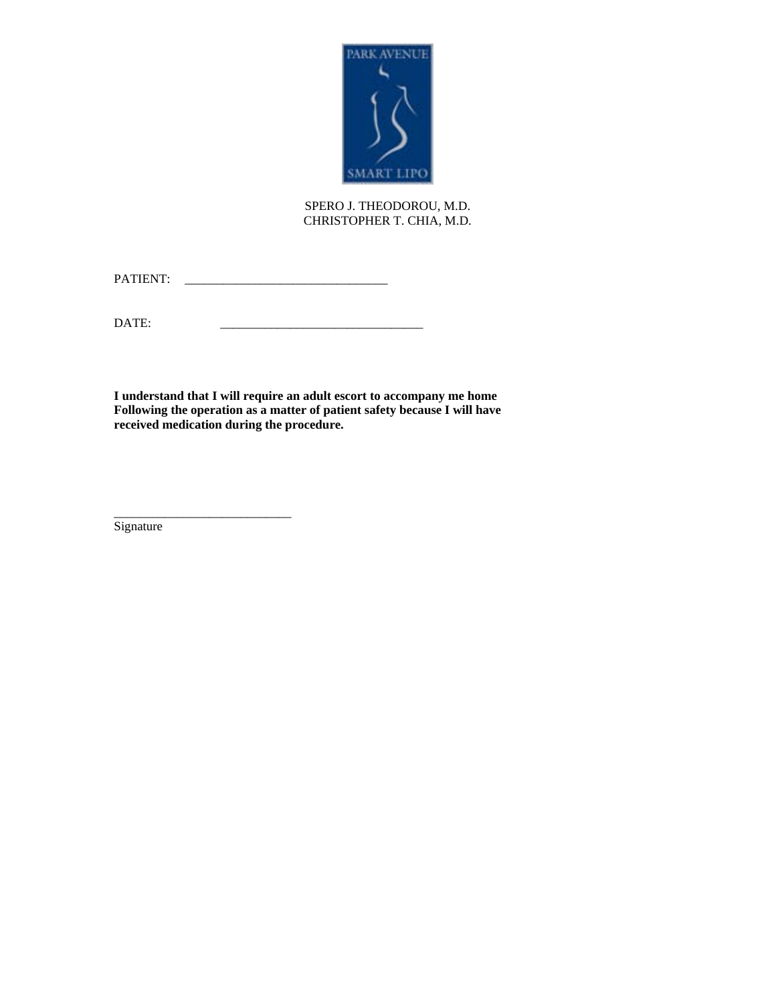

PATIENT:

DATE:

**I understand that I will require an adult escort to accompany me home Following the operation as a matter of patient safety because I will have received medication during the procedure.** 

Signature

\_\_\_\_\_\_\_\_\_\_\_\_\_\_\_\_\_\_\_\_\_\_\_\_\_\_\_\_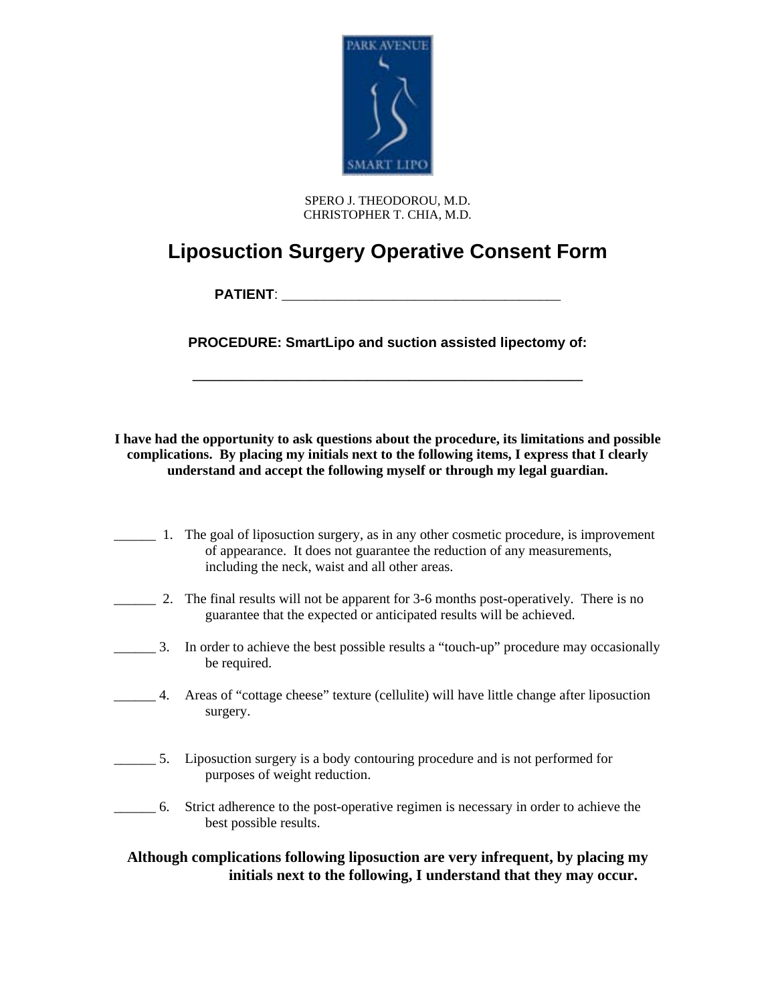

# **Liposuction Surgery Operative Consent Form**

**PATIENT**: \_\_\_\_\_\_\_\_\_\_\_\_\_\_\_\_\_\_\_\_\_\_\_\_\_\_\_\_\_\_\_\_\_\_\_\_\_\_\_\_

**PROCEDURE: SmartLipo and suction assisted lipectomy of:** 

**\_\_\_\_\_\_\_\_\_\_\_\_\_\_\_\_\_\_\_\_\_\_\_\_\_\_\_\_\_\_\_\_\_\_\_\_\_\_\_\_\_\_\_\_\_\_\_\_\_\_\_\_\_\_\_\_** 

**I have had the opportunity to ask questions about the procedure, its limitations and possible complications. By placing my initials next to the following items, I express that I clearly understand and accept the following myself or through my legal guardian.** 

- \_\_\_\_\_\_ 1. The goal of liposuction surgery, as in any other cosmetic procedure, is improvement of appearance. It does not guarantee the reduction of any measurements, including the neck, waist and all other areas.
- 2. The final results will not be apparent for 3-6 months post-operatively. There is no guarantee that the expected or anticipated results will be achieved.
- \_\_\_\_\_\_ 3. In order to achieve the best possible results a "touch-up" procedure may occasionally be required.
- \_\_\_\_\_\_ 4. Areas of "cottage cheese" texture (cellulite) will have little change after liposuction surgery.
- \_\_\_\_\_\_ 5. Liposuction surgery is a body contouring procedure and is not performed for purposes of weight reduction.
- \_\_\_\_\_\_ 6. Strict adherence to the post-operative regimen is necessary in order to achieve the best possible results.

## **Although complications following liposuction are very infrequent, by placing my initials next to the following, I understand that they may occur.**